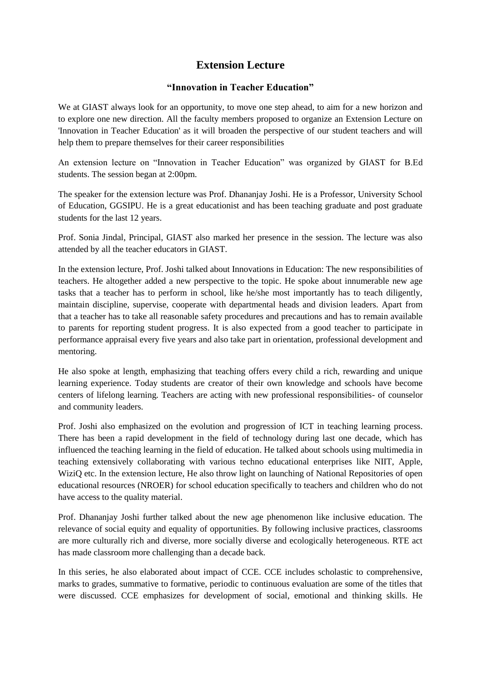## **Extension Lecture**

## **"Innovation in Teacher Education"**

We at GIAST always look for an opportunity, to move one step ahead, to aim for a new horizon and to explore one new direction. All the faculty members proposed to organize an Extension Lecture on 'Innovation in Teacher Education' as it will broaden the perspective of our student teachers and will help them to prepare themselves for their career responsibilities

An extension lecture on "Innovation in Teacher Education" was organized by GIAST for B.Ed students. The session began at 2:00pm.

The speaker for the extension lecture was Prof. Dhananjay Joshi. He is a Professor, University School of Education, GGSIPU. He is a great educationist and has been teaching graduate and post graduate students for the last 12 years.

Prof. Sonia Jindal, Principal, GIAST also marked her presence in the session. The lecture was also attended by all the teacher educators in GIAST.

In the extension lecture, Prof. Joshi talked about Innovations in Education: The new responsibilities of teachers. He altogether added a new perspective to the topic. He spoke about innumerable new age tasks that a teacher has to perform in school, like he/she most importantly has to teach diligently, maintain discipline, supervise, cooperate with departmental heads and division leaders. Apart from that a teacher has to take all reasonable safety procedures and precautions and has to remain available to parents for reporting student progress. It is also expected from a good teacher to participate in performance appraisal every five years and also take part in orientation, professional development and mentoring.

He also spoke at length, emphasizing that teaching offers every child a rich, rewarding and unique learning experience. Today students are creator of their own knowledge and schools have become centers of lifelong learning. Teachers are acting with new professional responsibilities- of counselor and community leaders.

Prof. Joshi also emphasized on the evolution and progression of ICT in teaching learning process. There has been a rapid development in the field of technology during last one decade, which has influenced the teaching learning in the field of education. He talked about schools using multimedia in teaching extensively collaborating with various techno educational enterprises like NIIT, Apple, WiziQ etc. In the extension lecture, He also throw light on launching of National Repositories of open educational resources (NROER) for school education specifically to teachers and children who do not have access to the quality material.

Prof. Dhananjay Joshi further talked about the new age phenomenon like inclusive education. The relevance of social equity and equality of opportunities. By following inclusive practices, classrooms are more culturally rich and diverse, more socially diverse and ecologically heterogeneous. RTE act has made classroom more challenging than a decade back.

In this series, he also elaborated about impact of CCE. CCE includes scholastic to comprehensive, marks to grades, summative to formative, periodic to continuous evaluation are some of the titles that were discussed. CCE emphasizes for development of social, emotional and thinking skills. He